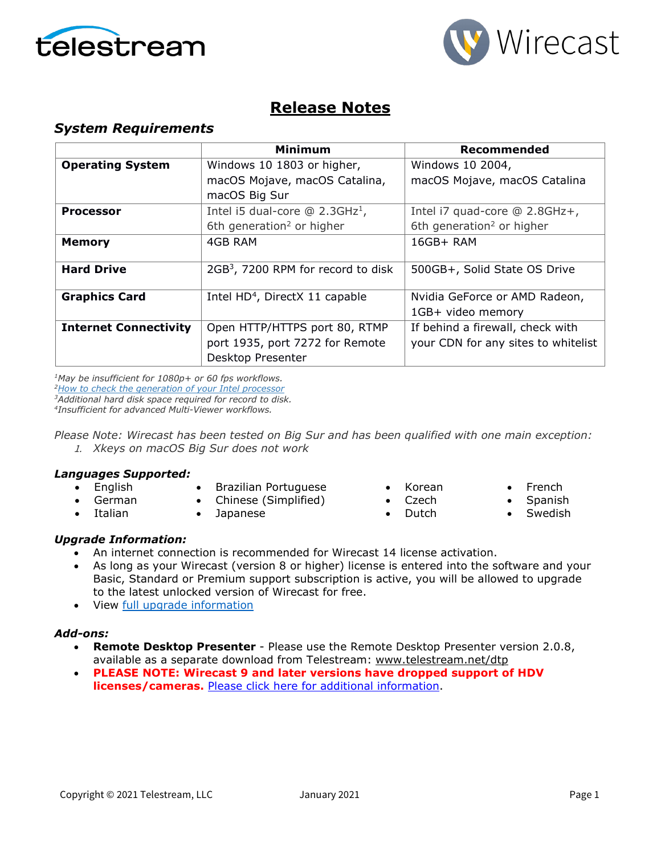



## **Release Notes**

## *System Requirements*

|                              | Minimum                                        | Recommended                           |
|------------------------------|------------------------------------------------|---------------------------------------|
| <b>Operating System</b>      | Windows 10 1803 or higher,                     | Windows 10 2004,                      |
|                              | macOS Mojave, macOS Catalina,                  | macOS Mojave, macOS Catalina          |
|                              | macOS Big Sur                                  |                                       |
| <b>Processor</b>             | Intel i5 dual-core $@$ 2.3GHz <sup>1</sup> ,   | Intel i7 quad-core @ 2.8GHz+,         |
|                              | 6th generation <sup>2</sup> or higher          | 6th generation <sup>2</sup> or higher |
| <b>Memory</b>                | 4GB RAM                                        | $16GB+ RAM$                           |
|                              |                                                |                                       |
| <b>Hard Drive</b>            | 2GB <sup>3</sup> , 7200 RPM for record to disk | 500GB+, Solid State OS Drive          |
|                              |                                                |                                       |
| <b>Graphics Card</b>         | Intel HD <sup>4</sup> , DirectX 11 capable     | Nvidia GeForce or AMD Radeon,         |
|                              |                                                | 1GB+ video memory                     |
| <b>Internet Connectivity</b> | Open HTTP/HTTPS port 80, RTMP                  | If behind a firewall, check with      |
|                              | port 1935, port 7272 for Remote                | your CDN for any sites to whitelist   |
|                              | Desktop Presenter                              |                                       |

*1May be insufficient for 1080p+ or 60 fps workflows. [2How to check the generation of your Intel processor](http://www.telestream.net/telestream-support/wire-cast/faq.htm?kbURL=http://telestream.force.com/kb/articles/Knowledge_Article/Wirecast-How-to-check-the-generation-of-your-Intel-processor/)*

*3Additional hard disk space required for record to disk.*

*4Insufficient for advanced Multi-Viewer workflows.*

*Please Note: Wirecast has been tested on Big Sur and has been qualified with one main exception:* 1. *Xkeys on macOS Big Sur does not work*

#### *Languages Supported:*

- English • German
- Brazilian Portuguese
- Chinese (Simplified)
- Italian
- Japanese
- Korean
- Czech
	- Dutch
- French
- Spanish
- **Swedish**

## *Upgrade Information:*

- An internet connection is recommended for Wirecast 14 license activation.
- As long as your Wirecast (version 8 or higher) license is entered into the software and your Basic, Standard or Premium support subscription is active, you will be allowed to upgrade to the latest unlocked version of Wirecast for free.
- View [full upgrade information](http://www.telestream.net/wirecast/upgrade.htm#upgrade)

#### *Add-ons:*

- **Remote Desktop Presenter**  Please use the Remote Desktop Presenter version 2.0.8, available as a separate download from Telestream: [www.telestream.net/dtp](http://www.telestream.net/dtp)
- **PLEASE NOTE: Wirecast 9 and later versions have dropped support of HDV licenses/cameras.** [Please click here for additional information.](http://www.telestream.net/telestream-support/wire-cast/faq.htm?kbURL=http://telestream.force.com/kb/articles/Knowledge_Article/Wirecast-HDV-Firewire-No-longer-Supported/)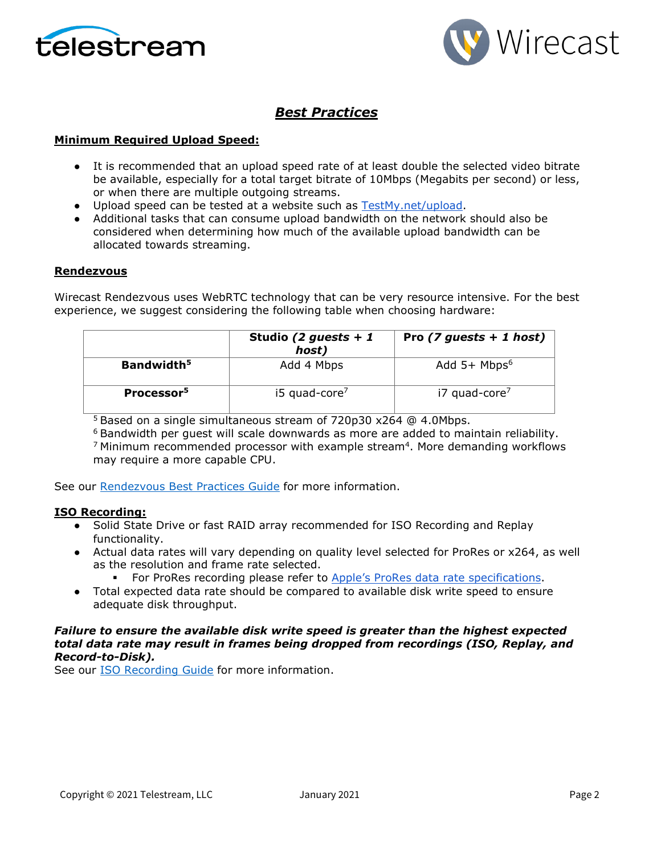



## *Best Practices*

#### **Minimum Required Upload Speed:**

- It is recommended that an upload speed rate of at least double the selected video bitrate be available, especially for a total target bitrate of 10Mbps (Megabits per second) or less, or when there are multiple outgoing streams.
- Upload speed can be tested at a website such as [TestMy.net/upload.](http://testmy.net/upload)
- Additional tasks that can consume upload bandwidth on the network should also be considered when determining how much of the available upload bandwidth can be allocated towards streaming.

#### **Rendezvous**

Wirecast Rendezvous uses WebRTC technology that can be very resource intensive. For the best experience, we suggest considering the following table when choosing hardware:

|                        | Studio (2 guests + 1<br>host) | Pro $(7$ guests + 1 host)  |
|------------------------|-------------------------------|----------------------------|
| Bandwidth <sup>5</sup> | Add 4 Mbps                    | Add $5+$ Mbps <sup>6</sup> |
| Processor <sup>5</sup> | $i5$ quad-core <sup>7</sup>   | i7 quad-core <sup>7</sup>  |

 $5$  Based on a single simultaneous stream of 720p30 x264  $\omega$  4.0Mbps.

<sup>6</sup> Bandwidth per guest will scale downwards as more are added to maintain reliability.  $<sup>7</sup>$  Minimum recommended processor with example stream<sup>4</sup>. More demanding workflows</sup> may require a more capable CPU.

See our [Rendezvous Best Practices Guide](http://www.telestream.net/pdfs/technical/Wirecast-Rendezvous-Best-Practices-Guide.pdf) for more information.

#### **ISO Recording:**

- Solid State Drive or fast RAID array recommended for ISO Recording and Replay functionality.
- Actual data rates will vary depending on quality level selected for ProRes or x264, as well as the resolution and frame rate selected.
	- For ProRes recording please refer to [Apple's ProRes data rate specifications.](https://en.wikipedia.org/wiki/Apple_ProRes#ProRes-Overview)
- Total expected data rate should be compared to available disk write speed to ensure adequate disk throughput.

#### *Failure to ensure the available disk write speed is greater than the highest expected total data rate may result in frames being dropped from recordings (ISO, Replay, and Record-to-Disk).*

See our [ISO Recording Guide](https://www.telestream.net/pdfs/technical/Wirecast-ISO-Best-Practices-Guide.pdf) for more information.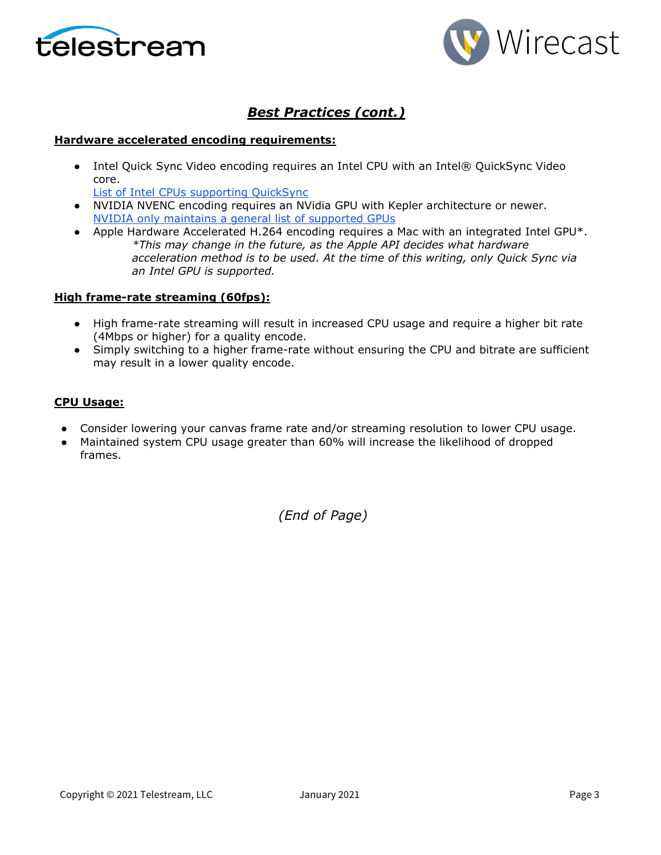



## *Best Practices (cont.)*

#### **Hardware accelerated encoding requirements:**

● Intel Quick Sync Video encoding requires an Intel CPU with an Intel® QuickSync Video core[.](http://ark.intel.com/search/advanced?QuickSyncVideo=true&MarketSegment=DT)

[List of Intel CPUs supporting QuickSync](https://ark.intel.com/content/www/us/en/ark/search/featurefilter.html?productType=873&0_QuickSyncVideo=True)

- NVIDIA NVENC encoding requires an NVidia GPU with Kepler architecture or newer[.](https://developer.nvidia.com/nvidia-video-codec-sdk) [NVIDIA only maintains a general list of supported GPUs](https://developer.nvidia.com/nvidia-video-codec-sdk)
- Apple Hardware Accelerated H.264 encoding requires a Mac with an integrated Intel GPU\*. *\*This may change in the future, as the Apple API decides what hardware acceleration method is to be used. At the time of this writing, only Quick Sync via an Intel GPU is supported.*

#### **High frame-rate streaming (60fps):**

- High frame-rate streaming will result in increased CPU usage and require a higher bit rate (4Mbps or higher) for a quality encode.
- Simply switching to a higher frame-rate without ensuring the CPU and bitrate are sufficient may result in a lower quality encode.

#### **CPU Usage:**

- Consider lowering your canvas frame rate and/or streaming resolution to lower CPU usage.
- Maintained system CPU usage greater than 60% will increase the likelihood of dropped frames.

*(End of Page)*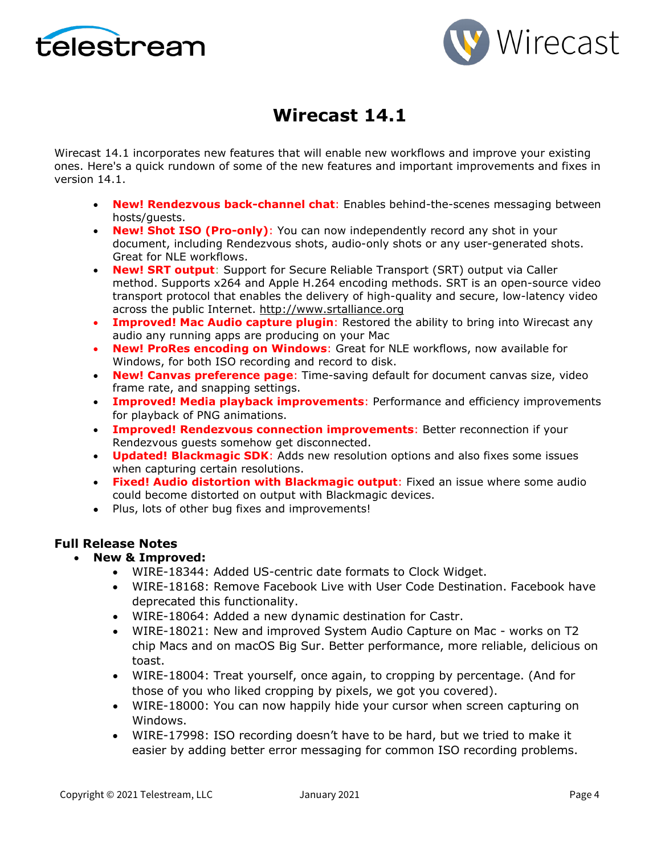



# **Wirecast 14.1**

Wirecast 14.1 incorporates new features that will enable new workflows and improve your existing ones. Here's a quick rundown of some of the new features and important improvements and fixes in version 14.1.

- **New! Rendezvous back-channel chat**: Enables behind-the-scenes messaging between hosts/guests.
- **New! Shot ISO (Pro-only)**: You can now independently record any shot in your document, including Rendezvous shots, audio-only shots or any user-generated shots. Great for NLE workflows.
- **New! SRT output**: Support for Secure Reliable Transport (SRT) output via Caller method. Supports x264 and Apple H.264 encoding methods. SRT is an open-source video transport protocol that enables the delivery of high-quality and secure, low-latency video across the public Internet. [http://www.srtalliance.org](http://www.srtalliance.org/)
- **Improved! Mac Audio capture plugin**: Restored the ability to bring into Wirecast any audio any running apps are producing on your Mac
- **New! ProRes encoding on Windows**: Great for NLE workflows, now available for Windows, for both ISO recording and record to disk.
- **New! Canvas preference page**: Time-saving default for document canvas size, video frame rate, and snapping settings.
- **Improved! Media playback improvements**: Performance and efficiency improvements for playback of PNG animations.
- **Improved! Rendezvous connection improvements**: Better reconnection if your Rendezvous guests somehow get disconnected.
- **Updated! Blackmagic SDK**: Adds new resolution options and also fixes some issues when capturing certain resolutions.
- **Fixed! Audio distortion with Blackmagic output**: Fixed an issue where some audio could become distorted on output with Blackmagic devices.
- Plus, lots of other bug fixes and improvements!

### **Full Release Notes**

- **New & Improved:**
	- WIRE-18344: Added US-centric date formats to Clock Widget.
	- WIRE-18168: Remove Facebook Live with User Code Destination. Facebook have deprecated this functionality.
	- WIRE-18064: Added a new dynamic destination for Castr.
	- WIRE-18021: New and improved System Audio Capture on Mac works on T2 chip Macs and on macOS Big Sur. Better performance, more reliable, delicious on toast.
	- WIRE-18004: Treat yourself, once again, to cropping by percentage. (And for those of you who liked cropping by pixels, we got you covered).
	- WIRE-18000: You can now happily hide your cursor when screen capturing on Windows.
	- WIRE-17998: ISO recording doesn't have to be hard, but we tried to make it easier by adding better error messaging for common ISO recording problems.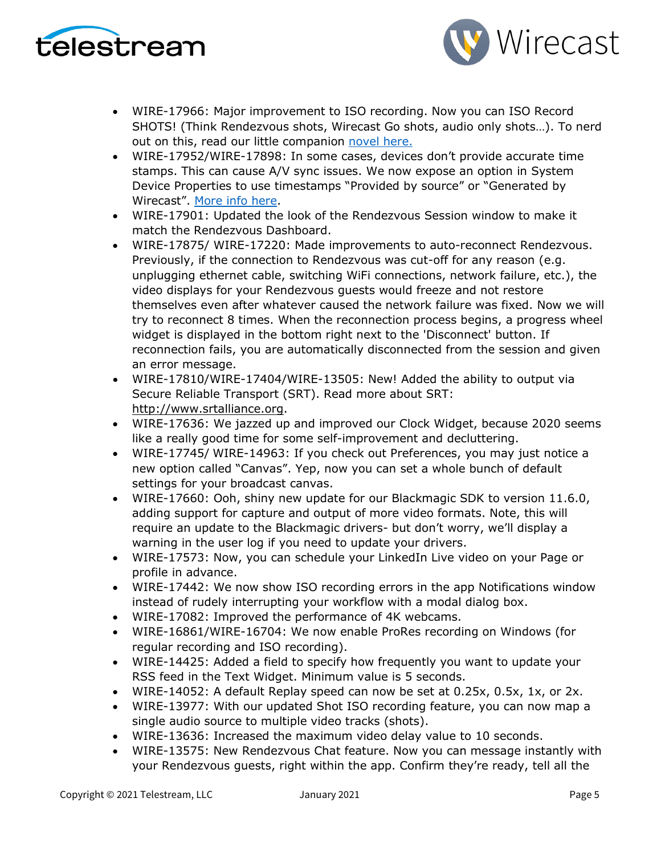



- WIRE-17966: Major improvement to ISO recording. Now you can ISO Record SHOTS! (Think Rendezvous shots, Wirecast Go shots, audio only shots…). To nerd out on this, read our little companion [novel here.](https://www.telestream.net/download-files/wirecast/14-1/ISO-Recording-Changes.pdf)
- WIRE-17952/WIRE-17898: In some cases, devices don't provide accurate time stamps. This can cause A/V sync issues. We now expose an option in System Device Properties to use timestamps "Provided by source" or "Generated by Wirecast". [More info here.](http://telestream.force.com/kb/articles/Knowledge_Article/Wirecast-Timestamps-Option/)
- WIRE-17901: Updated the look of the Rendezvous Session window to make it match the Rendezvous Dashboard.
- WIRE-17875/ WIRE-17220: Made improvements to auto-reconnect Rendezvous. Previously, if the connection to Rendezvous was cut-off for any reason (e.g. unplugging ethernet cable, switching WiFi connections, network failure, etc.), the video displays for your Rendezvous guests would freeze and not restore themselves even after whatever caused the network failure was fixed. Now we will try to reconnect 8 times. When the reconnection process begins, a progress wheel widget is displayed in the bottom right next to the 'Disconnect' button. If reconnection fails, you are automatically disconnected from the session and given an error message.
- WIRE-17810/WIRE-17404/WIRE-13505: New! Added the ability to output via Secure Reliable Transport (SRT). Read more about SRT: [http://www.srtalliance.org.](http://www.srtalliance.org/)
- WIRE-17636: We jazzed up and improved our Clock Widget, because 2020 seems like a really good time for some self-improvement and decluttering.
- WIRE-17745/ WIRE-14963: If you check out Preferences, you may just notice a new option called "Canvas". Yep, now you can set a whole bunch of default settings for your broadcast canvas.
- WIRE-17660: Ooh, shiny new update for our Blackmagic SDK to version 11.6.0, adding support for capture and output of more video formats. Note, this will require an update to the Blackmagic drivers- but don't worry, we'll display a warning in the user log if you need to update your drivers.
- WIRE-17573: Now, you can schedule your LinkedIn Live video on your Page or profile in advance.
- WIRE-17442: We now show ISO recording errors in the app Notifications window instead of rudely interrupting your workflow with a modal dialog box.
- WIRE-17082: Improved the performance of 4K webcams.
- WIRE-16861/WIRE-16704: We now enable ProRes recording on Windows (for regular recording and ISO recording).
- WIRE-14425: Added a field to specify how frequently you want to update your RSS feed in the Text Widget. Minimum value is 5 seconds.
- WIRE-14052: A default Replay speed can now be set at 0.25x, 0.5x, 1x, or 2x.
- WIRE-13977: With our updated Shot ISO recording feature, you can now map a single audio source to multiple video tracks (shots).
- WIRE-13636: Increased the maximum video delay value to 10 seconds.
- WIRE-13575: New Rendezvous Chat feature. Now you can message instantly with your Rendezvous guests, right within the app. Confirm they're ready, tell all the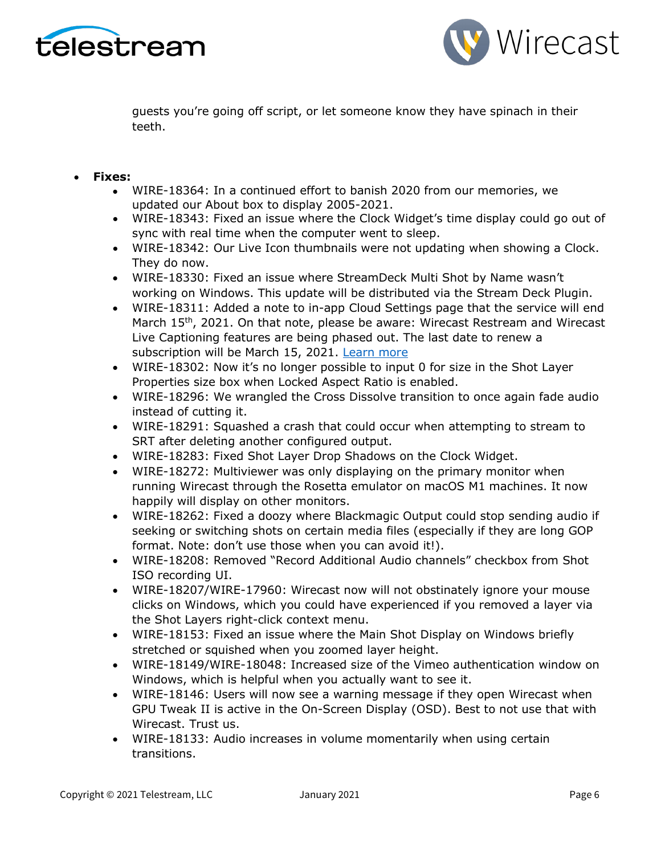



guests you're going off script, or let someone know they have spinach in their teeth.

### • **Fixes:**

- WIRE-18364: In a continued effort to banish 2020 from our memories, we updated our About box to display 2005-2021.
- WIRE-18343: Fixed an issue where the Clock Widget's time display could go out of sync with real time when the computer went to sleep.
- WIRE-18342: Our Live Icon thumbnails were not updating when showing a Clock. They do now.
- WIRE-18330: Fixed an issue where StreamDeck Multi Shot by Name wasn't working on Windows. This update will be distributed via the Stream Deck Plugin.
- WIRE-18311: Added a note to in-app Cloud Settings page that the service will end March 15<sup>th</sup>, 2021. On that note, please be aware: Wirecast Restream and Wirecast Live Captioning features are being phased out. The last date to renew a subscription will be March 15, 2021. [Learn more](http://www.telestream.net/telestream-support/wire-cast/faq.htm?kbURL=http://telestream.force.com/kb/articles/Knowledge_Article/Wirecast-Web-Services-Restream-Closed-Caption-Announcement)
- WIRE-18302: Now it's no longer possible to input 0 for size in the Shot Layer Properties size box when Locked Aspect Ratio is enabled.
- WIRE-18296: We wrangled the Cross Dissolve transition to once again fade audio instead of cutting it.
- WIRE-18291: Squashed a crash that could occur when attempting to stream to SRT after deleting another configured output.
- WIRE-18283: Fixed Shot Layer Drop Shadows on the Clock Widget.
- WIRE-18272: Multiviewer was only displaying on the primary monitor when running Wirecast through the Rosetta emulator on macOS M1 machines. It now happily will display on other monitors.
- WIRE-18262: Fixed a doozy where Blackmagic Output could stop sending audio if seeking or switching shots on certain media files (especially if they are long GOP format. Note: don't use those when you can avoid it!).
- WIRE-18208: Removed "Record Additional Audio channels" checkbox from Shot ISO recording UI.
- WIRE-18207/WIRE-17960: Wirecast now will not obstinately ignore your mouse clicks on Windows, which you could have experienced if you removed a layer via the Shot Layers right-click context menu.
- WIRE-18153: Fixed an issue where the Main Shot Display on Windows briefly stretched or squished when you zoomed layer height.
- WIRE-18149/WIRE-18048: Increased size of the Vimeo authentication window on Windows, which is helpful when you actually want to see it.
- WIRE-18146: Users will now see a warning message if they open Wirecast when GPU Tweak II is active in the On-Screen Display (OSD). Best to not use that with Wirecast. Trust us.
- WIRE-18133: Audio increases in volume momentarily when using certain transitions.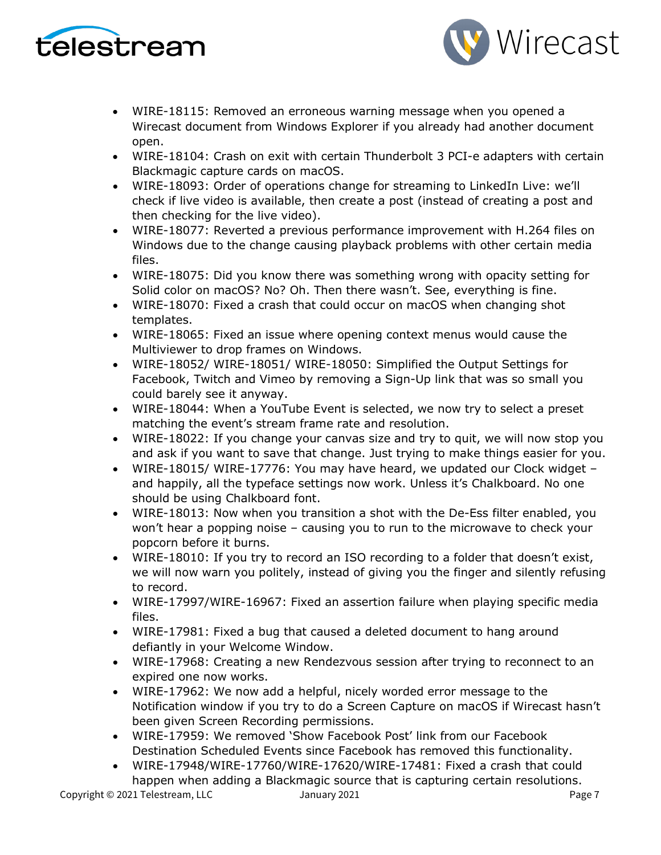



- WIRE-18115: Removed an erroneous warning message when you opened a Wirecast document from Windows Explorer if you already had another document open.
- WIRE-18104: Crash on exit with certain Thunderbolt 3 PCI-e adapters with certain Blackmagic capture cards on macOS.
- WIRE-18093: Order of operations change for streaming to LinkedIn Live: we'll check if live video is available, then create a post (instead of creating a post and then checking for the live video).
- WIRE-18077: Reverted a previous performance improvement with H.264 files on Windows due to the change causing playback problems with other certain media files.
- WIRE-18075: Did you know there was something wrong with opacity setting for Solid color on macOS? No? Oh. Then there wasn't. See, everything is fine.
- WIRE-18070: Fixed a crash that could occur on macOS when changing shot templates.
- WIRE-18065: Fixed an issue where opening context menus would cause the Multiviewer to drop frames on Windows.
- WIRE-18052/ WIRE-18051/ WIRE-18050: Simplified the Output Settings for Facebook, Twitch and Vimeo by removing a Sign-Up link that was so small you could barely see it anyway.
- WIRE-18044: When a YouTube Event is selected, we now try to select a preset matching the event's stream frame rate and resolution.
- WIRE-18022: If you change your canvas size and try to quit, we will now stop you and ask if you want to save that change. Just trying to make things easier for you.
- WIRE-18015/ WIRE-17776: You may have heard, we updated our Clock widget and happily, all the typeface settings now work. Unless it's Chalkboard. No one should be using Chalkboard font.
- WIRE-18013: Now when you transition a shot with the De-Ess filter enabled, you won't hear a popping noise – causing you to run to the microwave to check your popcorn before it burns.
- WIRE-18010: If you try to record an ISO recording to a folder that doesn't exist, we will now warn you politely, instead of giving you the finger and silently refusing to record.
- WIRE-17997/WIRE-16967: Fixed an assertion failure when playing specific media files.
- WIRE-17981: Fixed a bug that caused a deleted document to hang around defiantly in your Welcome Window.
- WIRE-17968: Creating a new Rendezvous session after trying to reconnect to an expired one now works.
- WIRE-17962: We now add a helpful, nicely worded error message to the Notification window if you try to do a Screen Capture on macOS if Wirecast hasn't been given Screen Recording permissions.
- WIRE-17959: We removed 'Show Facebook Post' link from our Facebook Destination Scheduled Events since Facebook has removed this functionality.
- WIRE-17948/WIRE-17760/WIRE-17620/WIRE-17481: Fixed a crash that could happen when adding a Blackmagic source that is capturing certain resolutions.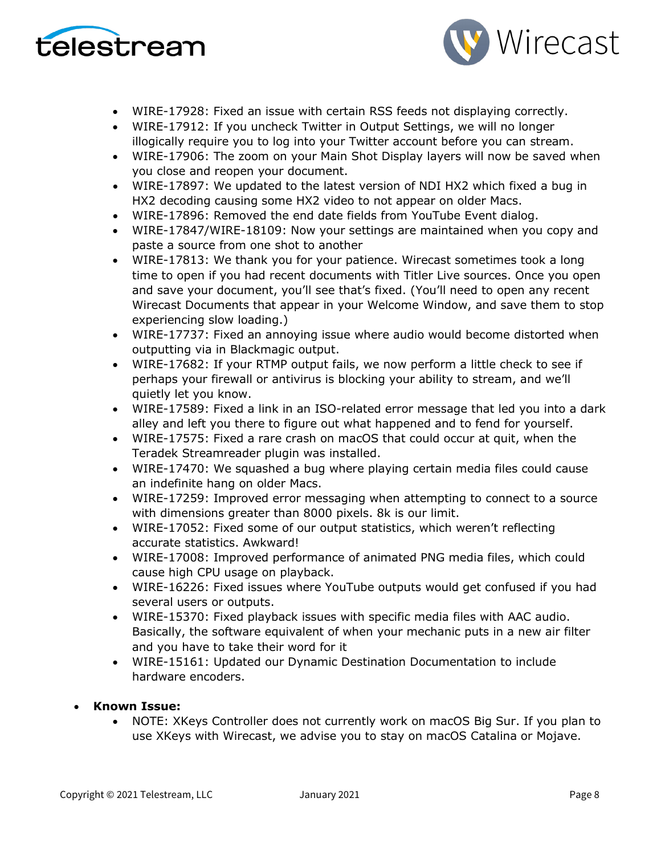



- WIRE-17928: Fixed an issue with certain RSS feeds not displaying correctly.
- WIRE-17912: If you uncheck Twitter in Output Settings, we will no longer illogically require you to log into your Twitter account before you can stream.
- WIRE-17906: The zoom on your Main Shot Display layers will now be saved when you close and reopen your document.
- WIRE-17897: We updated to the latest version of NDI HX2 which fixed a bug in HX2 decoding causing some HX2 video to not appear on older Macs.
- WIRE-17896: Removed the end date fields from YouTube Event dialog.
- WIRE-17847/WIRE-18109: Now your settings are maintained when you copy and paste a source from one shot to another
- WIRE-17813: We thank you for your patience. Wirecast sometimes took a long time to open if you had recent documents with Titler Live sources. Once you open and save your document, you'll see that's fixed. (You'll need to open any recent Wirecast Documents that appear in your Welcome Window, and save them to stop experiencing slow loading.)
- WIRE-17737: Fixed an annoying issue where audio would become distorted when outputting via in Blackmagic output.
- WIRE-17682: If your RTMP output fails, we now perform a little check to see if perhaps your firewall or antivirus is blocking your ability to stream, and we'll quietly let you know.
- WIRE-17589: Fixed a link in an ISO-related error message that led you into a dark alley and left you there to figure out what happened and to fend for yourself.
- WIRE-17575: Fixed a rare crash on macOS that could occur at quit, when the Teradek Streamreader plugin was installed.
- WIRE-17470: We squashed a bug where playing certain media files could cause an indefinite hang on older Macs.
- WIRE-17259: Improved error messaging when attempting to connect to a source with dimensions greater than 8000 pixels. 8k is our limit.
- WIRE-17052: Fixed some of our output statistics, which weren't reflecting accurate statistics. Awkward!
- WIRE-17008: Improved performance of animated PNG media files, which could cause high CPU usage on playback.
- WIRE-16226: Fixed issues where YouTube outputs would get confused if you had several users or outputs.
- WIRE-15370: Fixed playback issues with specific media files with AAC audio. Basically, the software equivalent of when your mechanic puts in a new air filter and you have to take their word for it
- WIRE-15161: Updated our Dynamic Destination Documentation to include hardware encoders.

## • **Known Issue:**

• NOTE: XKeys Controller does not currently work on macOS Big Sur. If you plan to use XKeys with Wirecast, we advise you to stay on macOS Catalina or Mojave.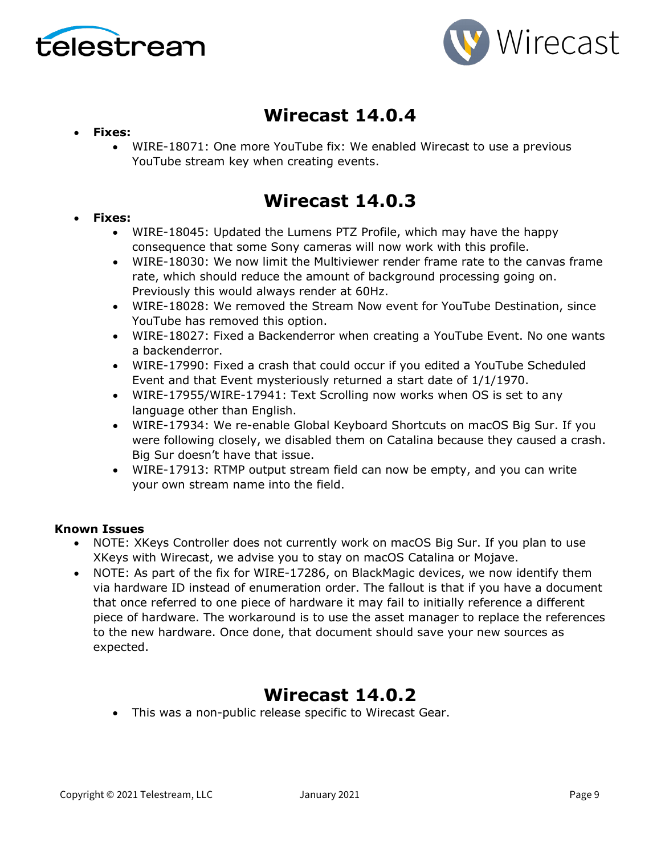



# **Wirecast 14.0.4**

### • **Fixes:**

• WIRE-18071: One more YouTube fix: We enabled Wirecast to use a previous YouTube stream key when creating events.

## **Wirecast 14.0.3**

### • **Fixes:**

- WIRE-18045: Updated the Lumens PTZ Profile, which may have the happy consequence that some Sony cameras will now work with this profile.
- WIRE-18030: We now limit the Multiviewer render frame rate to the canvas frame rate, which should reduce the amount of background processing going on. Previously this would always render at 60Hz.
- WIRE-18028: We removed the Stream Now event for YouTube Destination, since YouTube has removed this option.
- WIRE-18027: Fixed a Backenderror when creating a YouTube Event. No one wants a backenderror.
- WIRE-17990: Fixed a crash that could occur if you edited a YouTube Scheduled Event and that Event mysteriously returned a start date of 1/1/1970.
- WIRE-17955/WIRE-17941: Text Scrolling now works when OS is set to any language other than English.
- WIRE-17934: We re-enable Global Keyboard Shortcuts on macOS Big Sur. If you were following closely, we disabled them on Catalina because they caused a crash. Big Sur doesn't have that issue.
- WIRE-17913: RTMP output stream field can now be empty, and you can write your own stream name into the field.

### **Known Issues**

- NOTE: XKeys Controller does not currently work on macOS Big Sur. If you plan to use XKeys with Wirecast, we advise you to stay on macOS Catalina or Mojave.
- NOTE: As part of the fix for WIRE-17286, on BlackMagic devices, we now identify them via hardware ID instead of enumeration order. The fallout is that if you have a document that once referred to one piece of hardware it may fail to initially reference a different piece of hardware. The workaround is to use the asset manager to replace the references to the new hardware. Once done, that document should save your new sources as expected.

## **Wirecast 14.0.2**

• This was a non-public release specific to Wirecast Gear.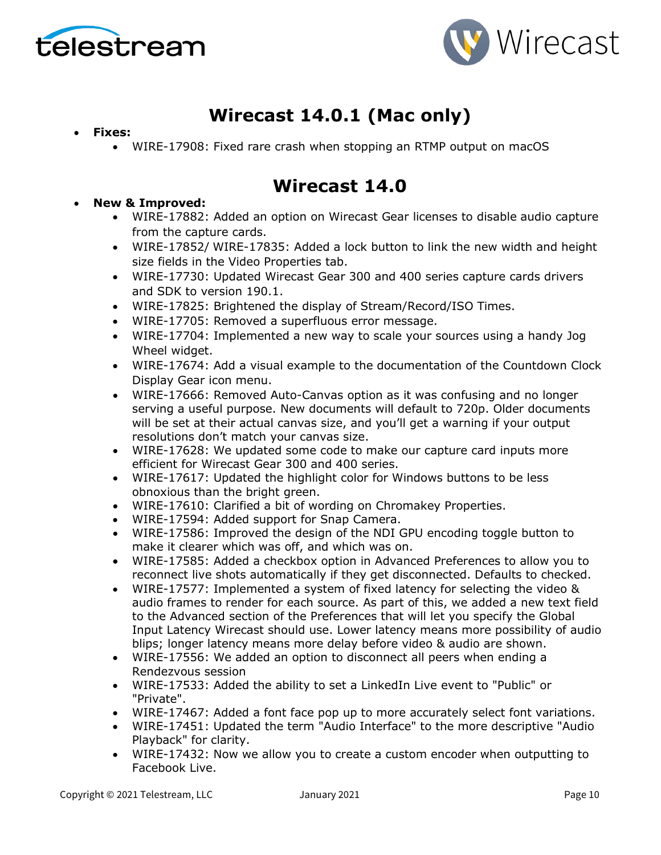



# **Wirecast 14.0.1 (Mac only)**

- **Fixes:**
	- WIRE-17908: Fixed rare crash when stopping an RTMP output on macOS

## **Wirecast 14.0**

- **New & Improved:**
	- WIRE-17882: Added an option on Wirecast Gear licenses to disable audio capture from the capture cards.
	- WIRE-17852/ WIRE-17835: Added a lock button to link the new width and height size fields in the Video Properties tab.
	- WIRE-17730: Updated Wirecast Gear 300 and 400 series capture cards drivers and SDK to version 190.1.
	- WIRE-17825: Brightened the display of Stream/Record/ISO Times.
	- WIRE-17705: Removed a superfluous error message.
	- WIRE-17704: Implemented a new way to scale your sources using a handy Jog Wheel widget.
	- WIRE-17674: Add a visual example to the documentation of the Countdown Clock Display Gear icon menu.
	- WIRE-17666: Removed Auto-Canvas option as it was confusing and no longer serving a useful purpose. New documents will default to 720p. Older documents will be set at their actual canvas size, and you'll get a warning if your output resolutions don't match your canvas size.
	- WIRE-17628: We updated some code to make our capture card inputs more efficient for Wirecast Gear 300 and 400 series.
	- WIRE-17617: Updated the highlight color for Windows buttons to be less obnoxious than the bright green.
	- WIRE-17610: Clarified a bit of wording on Chromakey Properties.
	- WIRE-17594: Added support for Snap Camera.
	- WIRE-17586: Improved the design of the NDI GPU encoding toggle button to make it clearer which was off, and which was on.
	- WIRE-17585: Added a checkbox option in Advanced Preferences to allow you to reconnect live shots automatically if they get disconnected. Defaults to checked.
	- WIRE-17577: Implemented a system of fixed latency for selecting the video & audio frames to render for each source. As part of this, we added a new text field to the Advanced section of the Preferences that will let you specify the Global Input Latency Wirecast should use. Lower latency means more possibility of audio blips; longer latency means more delay before video & audio are shown.
	- WIRE-17556: We added an option to disconnect all peers when ending a Rendezvous session
	- WIRE-17533: Added the ability to set a LinkedIn Live event to "Public" or "Private".
	- WIRE-17467: Added a font face pop up to more accurately select font variations.
	- WIRE-17451: Updated the term "Audio Interface" to the more descriptive "Audio Playback" for clarity.
	- WIRE-17432: Now we allow you to create a custom encoder when outputting to Facebook Live.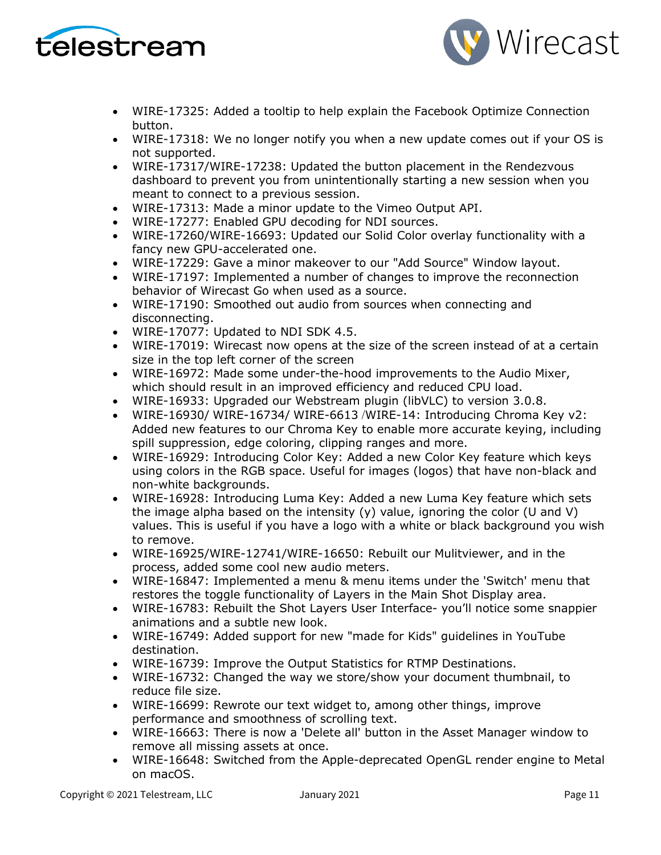



- WIRE-17325: Added a tooltip to help explain the Facebook Optimize Connection button.
- WIRE-17318: We no longer notify you when a new update comes out if your OS is not supported.
- WIRE-17317/WIRE-17238: Updated the button placement in the Rendezvous dashboard to prevent you from unintentionally starting a new session when you meant to connect to a previous session.
- WIRE-17313: Made a minor update to the Vimeo Output API.
- WIRE-17277: Enabled GPU decoding for NDI sources.
- WIRE-17260/WIRE-16693: Updated our Solid Color overlay functionality with a fancy new GPU-accelerated one.
- WIRE-17229: Gave a minor makeover to our "Add Source" Window layout.
- WIRE-17197: Implemented a number of changes to improve the reconnection behavior of Wirecast Go when used as a source.
- WIRE-17190: Smoothed out audio from sources when connecting and disconnecting.
- WIRE-17077: Updated to NDI SDK 4.5.
- WIRE-17019: Wirecast now opens at the size of the screen instead of at a certain size in the top left corner of the screen
- WIRE-16972: Made some under-the-hood improvements to the Audio Mixer, which should result in an improved efficiency and reduced CPU load.
- WIRE-16933: Upgraded our Webstream plugin (libVLC) to version 3.0.8.
- WIRE-16930/ WIRE-16734/ WIRE-6613 /WIRE-14: Introducing Chroma Key v2: Added new features to our Chroma Key to enable more accurate keying, including spill suppression, edge coloring, clipping ranges and more.
- WIRE-16929: Introducing Color Key: Added a new Color Key feature which keys using colors in the RGB space. Useful for images (logos) that have non-black and non-white backgrounds.
- WIRE-16928: Introducing Luma Key: Added a new Luma Key feature which sets the image alpha based on the intensity  $(y)$  value, ignoring the color (U and V) values. This is useful if you have a logo with a white or black background you wish to remove.
- WIRE-16925/WIRE-12741/WIRE-16650: Rebuilt our Mulitviewer, and in the process, added some cool new audio meters.
- WIRE-16847: Implemented a menu & menu items under the 'Switch' menu that restores the toggle functionality of Layers in the Main Shot Display area.
- WIRE-16783: Rebuilt the Shot Layers User Interface- you'll notice some snappier animations and a subtle new look.
- WIRE-16749: Added support for new "made for Kids" guidelines in YouTube destination.
- WIRE-16739: Improve the Output Statistics for RTMP Destinations.
- WIRE-16732: Changed the way we store/show your document thumbnail, to reduce file size.
- WIRE-16699: Rewrote our text widget to, among other things, improve performance and smoothness of scrolling text.
- WIRE-16663: There is now a 'Delete all' button in the Asset Manager window to remove all missing assets at once.
- WIRE-16648: Switched from the Apple-deprecated OpenGL render engine to Metal on macOS.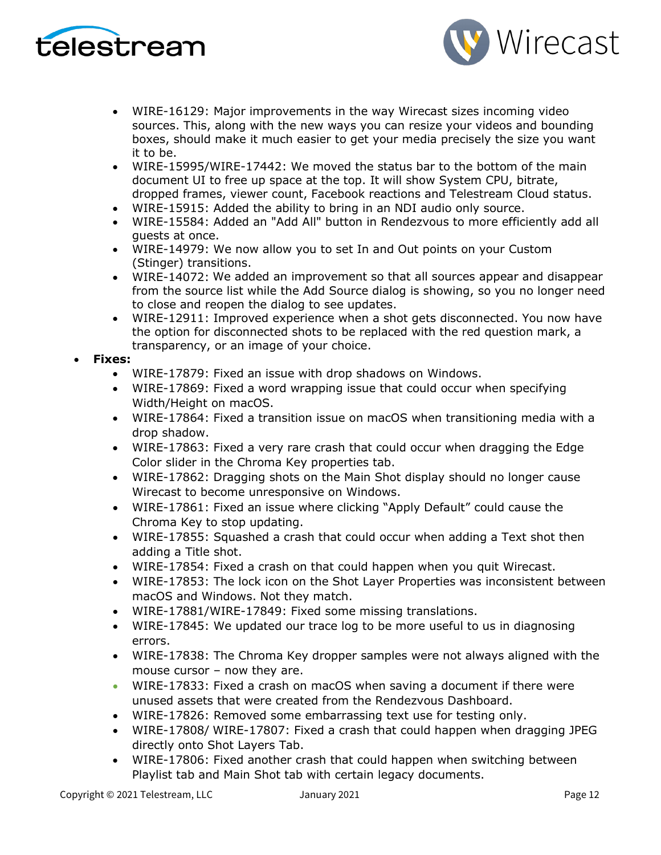



- WIRE-16129: Major improvements in the way Wirecast sizes incoming video sources. This, along with the new ways you can resize your videos and bounding boxes, should make it much easier to get your media precisely the size you want it to be.
- WIRE-15995/WIRE-17442: We moved the status bar to the bottom of the main document UI to free up space at the top. It will show System CPU, bitrate, dropped frames, viewer count, Facebook reactions and Telestream Cloud status.
- WIRE-15915: Added the ability to bring in an NDI audio only source.
- WIRE-15584: Added an "Add All" button in Rendezvous to more efficiently add all guests at once.
- WIRE-14979: We now allow you to set In and Out points on your Custom (Stinger) transitions.
- WIRE-14072: We added an improvement so that all sources appear and disappear from the source list while the Add Source dialog is showing, so you no longer need to close and reopen the dialog to see updates.
- WIRE-12911: Improved experience when a shot gets disconnected. You now have the option for disconnected shots to be replaced with the red question mark, a transparency, or an image of your choice.

#### • **Fixes:**

- WIRE-17879: Fixed an issue with drop shadows on Windows.
- WIRE-17869: Fixed a word wrapping issue that could occur when specifying Width/Height on macOS.
- WIRE-17864: Fixed a transition issue on macOS when transitioning media with a drop shadow.
- WIRE-17863: Fixed a very rare crash that could occur when dragging the Edge Color slider in the Chroma Key properties tab.
- WIRE-17862: Dragging shots on the Main Shot display should no longer cause Wirecast to become unresponsive on Windows.
- WIRE-17861: Fixed an issue where clicking "Apply Default" could cause the Chroma Key to stop updating.
- WIRE-17855: Squashed a crash that could occur when adding a Text shot then adding a Title shot.
- WIRE-17854: Fixed a crash on that could happen when you quit Wirecast.
- WIRE-17853: The lock icon on the Shot Layer Properties was inconsistent between macOS and Windows. Not they match.
- WIRE-17881/WIRE-17849: Fixed some missing translations.
- WIRE-17845: We updated our trace log to be more useful to us in diagnosing errors.
- WIRE-17838: The Chroma Key dropper samples were not always aligned with the mouse cursor – now they are.
- WIRE-17833: Fixed a crash on macOS when saving a document if there were unused assets that were created from the Rendezvous Dashboard.
- WIRE-17826: Removed some embarrassing text use for testing only.
- WIRE-17808/ WIRE-17807: Fixed a crash that could happen when dragging JPEG directly onto Shot Layers Tab.
- WIRE-17806: Fixed another crash that could happen when switching between Playlist tab and Main Shot tab with certain legacy documents.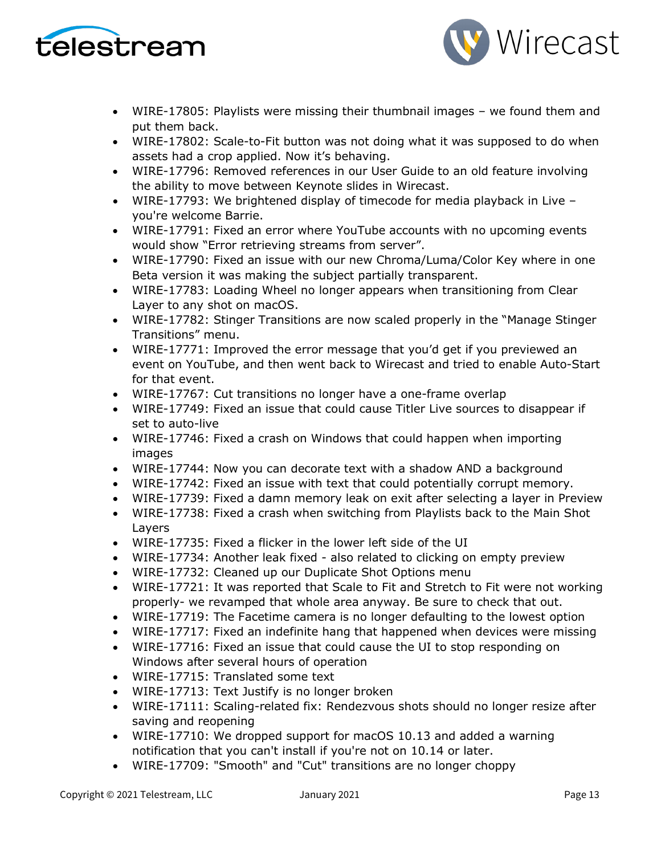



- WIRE-17805: Playlists were missing their thumbnail images we found them and put them back.
- WIRE-17802: Scale-to-Fit button was not doing what it was supposed to do when assets had a crop applied. Now it's behaving.
- WIRE-17796: Removed references in our User Guide to an old feature involving the ability to move between Keynote slides in Wirecast.
- WIRE-17793: We brightened display of timecode for media playback in Live you're welcome Barrie.
- WIRE-17791: Fixed an error where YouTube accounts with no upcoming events would show "Error retrieving streams from server".
- WIRE-17790: Fixed an issue with our new Chroma/Luma/Color Key where in one Beta version it was making the subject partially transparent.
- WIRE-17783: Loading Wheel no longer appears when transitioning from Clear Layer to any shot on macOS.
- WIRE-17782: Stinger Transitions are now scaled properly in the "Manage Stinger Transitions" menu.
- WIRE-17771: Improved the error message that you'd get if you previewed an event on YouTube, and then went back to Wirecast and tried to enable Auto-Start for that event.
- WIRE-17767: Cut transitions no longer have a one-frame overlap
- WIRE-17749: Fixed an issue that could cause Titler Live sources to disappear if set to auto-live
- WIRE-17746: Fixed a crash on Windows that could happen when importing images
- WIRE-17744: Now you can decorate text with a shadow AND a background
- WIRE-17742: Fixed an issue with text that could potentially corrupt memory.
- WIRE-17739: Fixed a damn memory leak on exit after selecting a layer in Preview
- WIRE-17738: Fixed a crash when switching from Playlists back to the Main Shot Layers
- WIRE-17735: Fixed a flicker in the lower left side of the UI
- WIRE-17734: Another leak fixed also related to clicking on empty preview
- WIRE-17732: Cleaned up our Duplicate Shot Options menu
- WIRE-17721: It was reported that Scale to Fit and Stretch to Fit were not working properly- we revamped that whole area anyway. Be sure to check that out.
- WIRE-17719: The Facetime camera is no longer defaulting to the lowest option
- WIRE-17717: Fixed an indefinite hang that happened when devices were missing
- WIRE-17716: Fixed an issue that could cause the UI to stop responding on Windows after several hours of operation
- WIRE-17715: Translated some text
- WIRE-17713: Text Justify is no longer broken
- WIRE-17111: Scaling-related fix: Rendezvous shots should no longer resize after saving and reopening
- WIRE-17710: We dropped support for macOS 10.13 and added a warning notification that you can't install if you're not on 10.14 or later.
- WIRE-17709: "Smooth" and "Cut" transitions are no longer choppy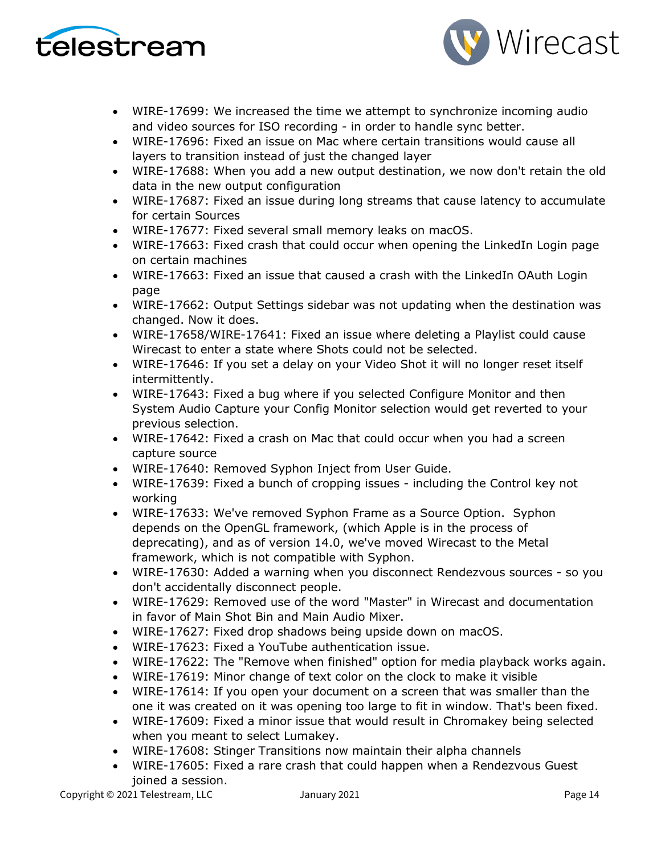



- WIRE-17699: We increased the time we attempt to synchronize incoming audio and video sources for ISO recording - in order to handle sync better.
- WIRE-17696: Fixed an issue on Mac where certain transitions would cause all layers to transition instead of just the changed layer
- WIRE-17688: When you add a new output destination, we now don't retain the old data in the new output configuration
- WIRE-17687: Fixed an issue during long streams that cause latency to accumulate for certain Sources
- WIRE-17677: Fixed several small memory leaks on macOS.
- WIRE-17663: Fixed crash that could occur when opening the LinkedIn Login page on certain machines
- WIRE-17663: Fixed an issue that caused a crash with the LinkedIn OAuth Login page
- WIRE-17662: Output Settings sidebar was not updating when the destination was changed. Now it does.
- WIRE-17658/WIRE-17641: Fixed an issue where deleting a Playlist could cause Wirecast to enter a state where Shots could not be selected.
- WIRE-17646: If you set a delay on your Video Shot it will no longer reset itself intermittently.
- WIRE-17643: Fixed a bug where if you selected Configure Monitor and then System Audio Capture your Config Monitor selection would get reverted to your previous selection.
- WIRE-17642: Fixed a crash on Mac that could occur when you had a screen capture source
- WIRE-17640: Removed Syphon Inject from User Guide.
- WIRE-17639: Fixed a bunch of cropping issues including the Control key not working
- WIRE-17633: We've removed Syphon Frame as a Source Option. Syphon depends on the OpenGL framework, (which Apple is in the process of deprecating), and as of version 14.0, we've moved Wirecast to the Metal framework, which is not compatible with Syphon.
- WIRE-17630: Added a warning when you disconnect Rendezvous sources so you don't accidentally disconnect people.
- WIRE-17629: Removed use of the word "Master" in Wirecast and documentation in favor of Main Shot Bin and Main Audio Mixer.
- WIRE-17627: Fixed drop shadows being upside down on macOS.
- WIRE-17623: Fixed a YouTube authentication issue.
- WIRE-17622: The "Remove when finished" option for media playback works again.
- WIRE-17619: Minor change of text color on the clock to make it visible
- WIRE-17614: If you open your document on a screen that was smaller than the one it was created on it was opening too large to fit in window. That's been fixed.
- WIRE-17609: Fixed a minor issue that would result in Chromakey being selected when you meant to select Lumakey.
- WIRE-17608: Stinger Transitions now maintain their alpha channels
- WIRE-17605: Fixed a rare crash that could happen when a Rendezvous Guest joined a session.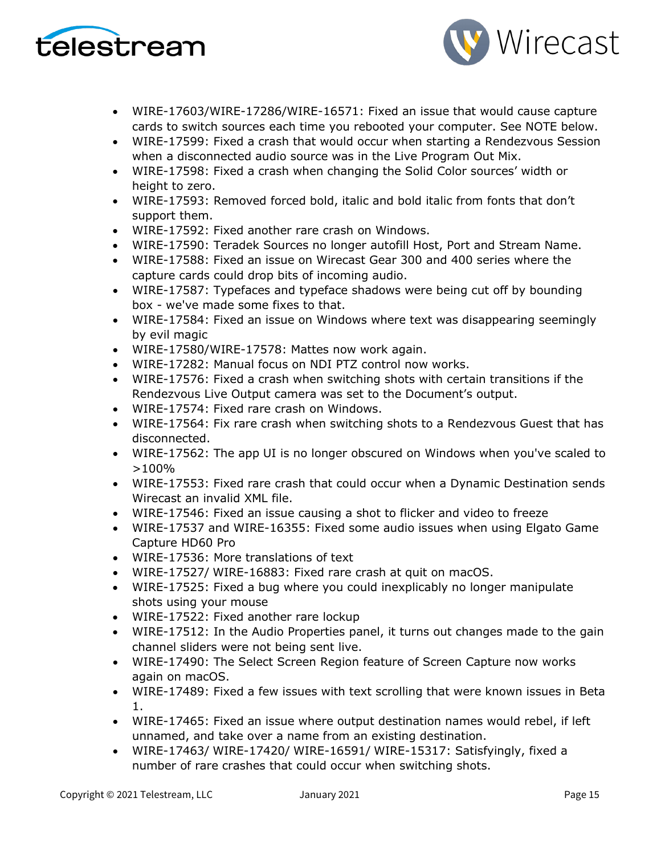



- WIRE-17603/WIRE-17286/WIRE-16571: Fixed an issue that would cause capture cards to switch sources each time you rebooted your computer. See NOTE below.
- WIRE-17599: Fixed a crash that would occur when starting a Rendezvous Session when a disconnected audio source was in the Live Program Out Mix.
- WIRE-17598: Fixed a crash when changing the Solid Color sources' width or height to zero.
- WIRE-17593: Removed forced bold, italic and bold italic from fonts that don't support them.
- WIRE-17592: Fixed another rare crash on Windows.
- WIRE-17590: Teradek Sources no longer autofill Host, Port and Stream Name.
- WIRE-17588: Fixed an issue on Wirecast Gear 300 and 400 series where the capture cards could drop bits of incoming audio.
- WIRE-17587: Typefaces and typeface shadows were being cut off by bounding box - we've made some fixes to that.
- WIRE-17584: Fixed an issue on Windows where text was disappearing seemingly by evil magic
- WIRE-17580/WIRE-17578: Mattes now work again.
- WIRE-17282: Manual focus on NDI PTZ control now works.
- WIRE-17576: Fixed a crash when switching shots with certain transitions if the Rendezvous Live Output camera was set to the Document's output.
- WIRE-17574: Fixed rare crash on Windows.
- WIRE-17564: Fix rare crash when switching shots to a Rendezvous Guest that has disconnected.
- WIRE-17562: The app UI is no longer obscured on Windows when you've scaled to >100%
- WIRE-17553: Fixed rare crash that could occur when a Dynamic Destination sends Wirecast an invalid XML file.
- WIRE-17546: Fixed an issue causing a shot to flicker and video to freeze
- WIRE-17537 and WIRE-16355: Fixed some audio issues when using Elgato Game Capture HD60 Pro
- WIRE-17536: More translations of text
- WIRE-17527/ WIRE-16883: Fixed rare crash at quit on macOS.
- WIRE-17525: Fixed a bug where you could inexplicably no longer manipulate shots using your mouse
- WIRE-17522: Fixed another rare lockup
- WIRE-17512: In the Audio Properties panel, it turns out changes made to the gain channel sliders were not being sent live.
- WIRE-17490: The Select Screen Region feature of Screen Capture now works again on macOS.
- WIRE-17489: Fixed a few issues with text scrolling that were known issues in Beta 1.
- WIRE-17465: Fixed an issue where output destination names would rebel, if left unnamed, and take over a name from an existing destination.
- WIRE-17463/ WIRE-17420/ WIRE-16591/ WIRE-15317: Satisfyingly, fixed a number of rare crashes that could occur when switching shots.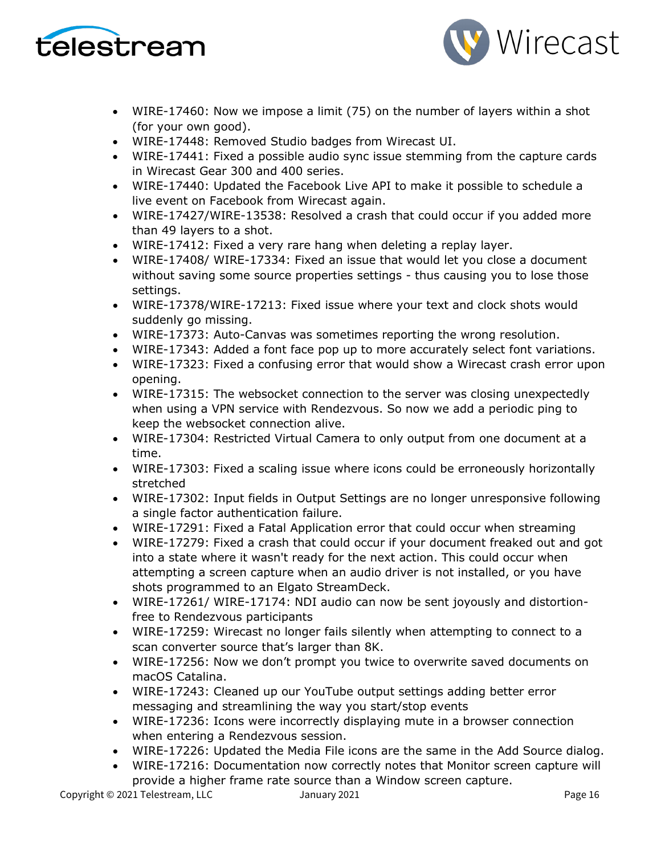



- WIRE-17460: Now we impose a limit (75) on the number of layers within a shot (for your own good).
- WIRE-17448: Removed Studio badges from Wirecast UI.
- WIRE-17441: Fixed a possible audio sync issue stemming from the capture cards in Wirecast Gear 300 and 400 series.
- WIRE-17440: Updated the Facebook Live API to make it possible to schedule a live event on Facebook from Wirecast again.
- WIRE-17427/WIRE-13538: Resolved a crash that could occur if you added more than 49 layers to a shot.
- WIRE-17412: Fixed a very rare hang when deleting a replay layer.
- WIRE-17408/ WIRE-17334: Fixed an issue that would let you close a document without saving some source properties settings - thus causing you to lose those settings.
- WIRE-17378/WIRE-17213: Fixed issue where your text and clock shots would suddenly go missing.
- WIRE-17373: Auto-Canvas was sometimes reporting the wrong resolution.
- WIRE-17343: Added a font face pop up to more accurately select font variations.
- WIRE-17323: Fixed a confusing error that would show a Wirecast crash error upon opening.
- WIRE-17315: The websocket connection to the server was closing unexpectedly when using a VPN service with Rendezvous. So now we add a periodic ping to keep the websocket connection alive.
- WIRE-17304: Restricted Virtual Camera to only output from one document at a time.
- WIRE-17303: Fixed a scaling issue where icons could be erroneously horizontally stretched
- WIRE-17302: Input fields in Output Settings are no longer unresponsive following a single factor authentication failure.
- WIRE-17291: Fixed a Fatal Application error that could occur when streaming
- WIRE-17279: Fixed a crash that could occur if your document freaked out and got into a state where it wasn't ready for the next action. This could occur when attempting a screen capture when an audio driver is not installed, or you have shots programmed to an Elgato StreamDeck.
- WIRE-17261/ WIRE-17174: NDI audio can now be sent joyously and distortionfree to Rendezvous participants
- WIRE-17259: Wirecast no longer fails silently when attempting to connect to a scan converter source that's larger than 8K.
- WIRE-17256: Now we don't prompt you twice to overwrite saved documents on macOS Catalina.
- WIRE-17243: Cleaned up our YouTube output settings adding better error messaging and streamlining the way you start/stop events
- WIRE-17236: Icons were incorrectly displaying mute in a browser connection when entering a Rendezvous session.
- WIRE-17226: Updated the Media File icons are the same in the Add Source dialog.
- WIRE-17216: Documentation now correctly notes that Monitor screen capture will provide a higher frame rate source than a Window screen capture.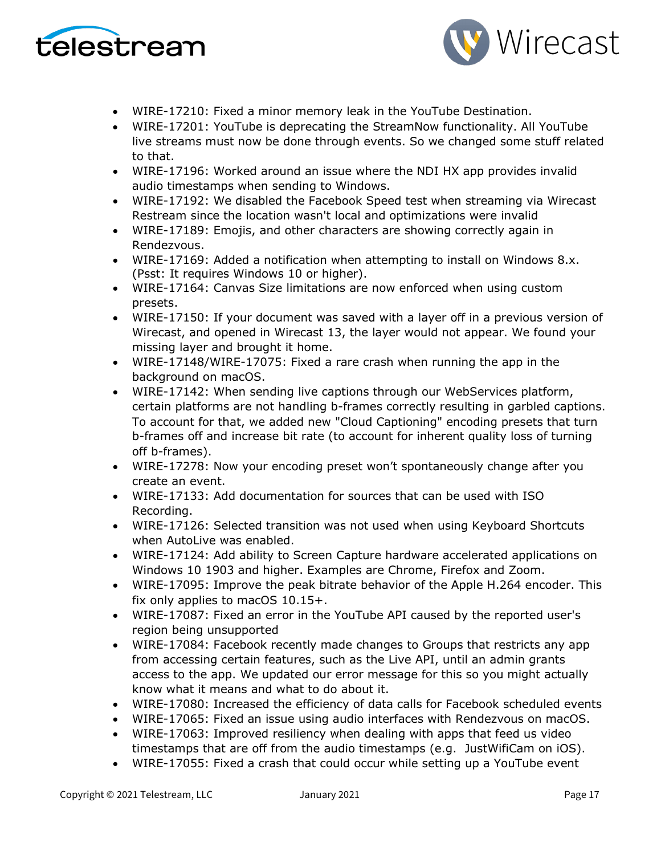



- WIRE-17210: Fixed a minor memory leak in the YouTube Destination.
- WIRE-17201: YouTube is deprecating the StreamNow functionality. All YouTube live streams must now be done through events. So we changed some stuff related to that.
- WIRE-17196: Worked around an issue where the NDI HX app provides invalid audio timestamps when sending to Windows.
- WIRE-17192: We disabled the Facebook Speed test when streaming via Wirecast Restream since the location wasn't local and optimizations were invalid
- WIRE-17189: Emojis, and other characters are showing correctly again in Rendezvous.
- WIRE-17169: Added a notification when attempting to install on Windows 8.x. (Psst: It requires Windows 10 or higher).
- WIRE-17164: Canvas Size limitations are now enforced when using custom presets.
- WIRE-17150: If your document was saved with a layer off in a previous version of Wirecast, and opened in Wirecast 13, the layer would not appear. We found your missing layer and brought it home.
- WIRE-17148/WIRE-17075: Fixed a rare crash when running the app in the background on macOS.
- WIRE-17142: When sending live captions through our WebServices platform, certain platforms are not handling b-frames correctly resulting in garbled captions. To account for that, we added new "Cloud Captioning" encoding presets that turn b-frames off and increase bit rate (to account for inherent quality loss of turning off b-frames).
- WIRE-17278: Now your encoding preset won't spontaneously change after you create an event.
- WIRE-17133: Add documentation for sources that can be used with ISO Recording.
- WIRE-17126: Selected transition was not used when using Keyboard Shortcuts when AutoLive was enabled.
- WIRE-17124: Add ability to Screen Capture hardware accelerated applications on Windows 10 1903 and higher. Examples are Chrome, Firefox and Zoom.
- WIRE-17095: Improve the peak bitrate behavior of the Apple H.264 encoder. This fix only applies to macOS 10.15+.
- WIRE-17087: Fixed an error in the YouTube API caused by the reported user's region being unsupported
- WIRE-17084: Facebook recently made changes to Groups that restricts any app from accessing certain features, such as the Live API, until an admin grants access to the app. We updated our error message for this so you might actually know what it means and what to do about it.
- WIRE-17080: Increased the efficiency of data calls for Facebook scheduled events
- WIRE-17065: Fixed an issue using audio interfaces with Rendezvous on macOS.
- WIRE-17063: Improved resiliency when dealing with apps that feed us video timestamps that are off from the audio timestamps (e.g. JustWifiCam on iOS).
- WIRE-17055: Fixed a crash that could occur while setting up a YouTube event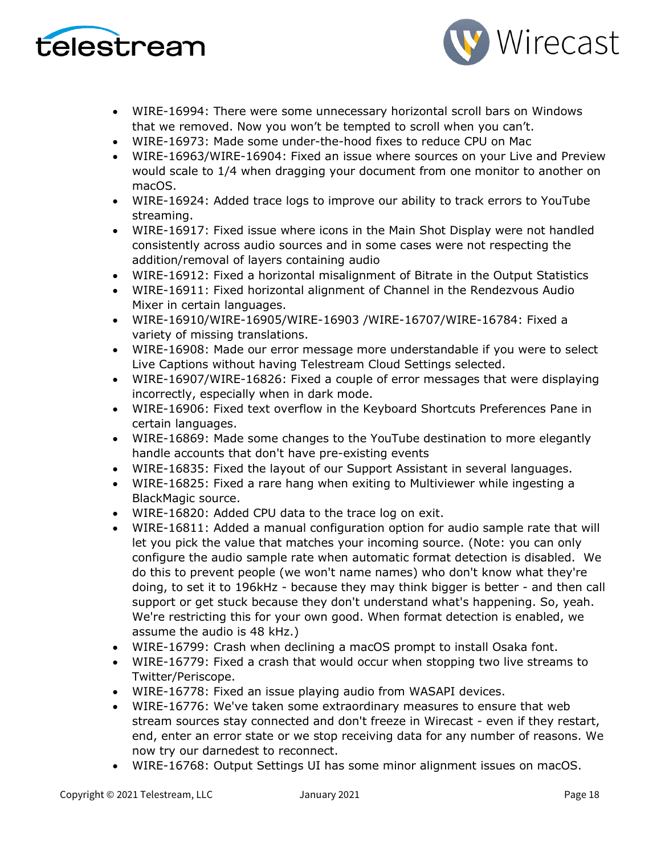



- WIRE-16994: There were some unnecessary horizontal scroll bars on Windows that we removed. Now you won't be tempted to scroll when you can't.
- WIRE-16973: Made some under-the-hood fixes to reduce CPU on Mac
- WIRE-16963/WIRE-16904: Fixed an issue where sources on your Live and Preview would scale to 1/4 when dragging your document from one monitor to another on macOS.
- WIRE-16924: Added trace logs to improve our ability to track errors to YouTube streaming.
- WIRE-16917: Fixed issue where icons in the Main Shot Display were not handled consistently across audio sources and in some cases were not respecting the addition/removal of layers containing audio
- WIRE-16912: Fixed a horizontal misalignment of Bitrate in the Output Statistics
- WIRE-16911: Fixed horizontal alignment of Channel in the Rendezvous Audio Mixer in certain languages.
- WIRE-16910/WIRE-16905/WIRE-16903 /WIRE-16707/WIRE-16784: Fixed a variety of missing translations.
- WIRE-16908: Made our error message more understandable if you were to select Live Captions without having Telestream Cloud Settings selected.
- WIRE-16907/WIRE-16826: Fixed a couple of error messages that were displaying incorrectly, especially when in dark mode.
- WIRE-16906: Fixed text overflow in the Keyboard Shortcuts Preferences Pane in certain languages.
- WIRE-16869: Made some changes to the YouTube destination to more elegantly handle accounts that don't have pre-existing events
- WIRE-16835: Fixed the layout of our Support Assistant in several languages.
- WIRE-16825: Fixed a rare hang when exiting to Multiviewer while ingesting a BlackMagic source.
- WIRE-16820: Added CPU data to the trace log on exit.
- WIRE-16811: Added a manual configuration option for audio sample rate that will let you pick the value that matches your incoming source. (Note: you can only configure the audio sample rate when automatic format detection is disabled. We do this to prevent people (we won't name names) who don't know what they're doing, to set it to 196kHz - because they may think bigger is better - and then call support or get stuck because they don't understand what's happening. So, yeah. We're restricting this for your own good. When format detection is enabled, we assume the audio is 48 kHz.)
- WIRE-16799: Crash when declining a macOS prompt to install Osaka font.
- WIRE-16779: Fixed a crash that would occur when stopping two live streams to Twitter/Periscope.
- WIRE-16778: Fixed an issue playing audio from WASAPI devices.
- WIRE-16776: We've taken some extraordinary measures to ensure that web stream sources stay connected and don't freeze in Wirecast - even if they restart, end, enter an error state or we stop receiving data for any number of reasons. We now try our darnedest to reconnect.
- WIRE-16768: Output Settings UI has some minor alignment issues on macOS.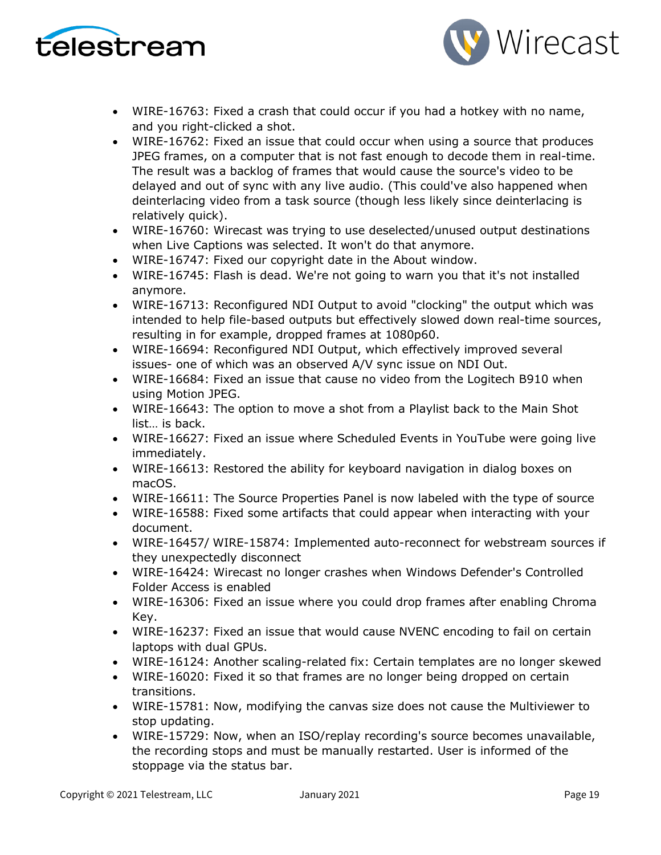



- WIRE-16763: Fixed a crash that could occur if you had a hotkey with no name, and you right-clicked a shot.
- WIRE-16762: Fixed an issue that could occur when using a source that produces JPEG frames, on a computer that is not fast enough to decode them in real-time. The result was a backlog of frames that would cause the source's video to be delayed and out of sync with any live audio. (This could've also happened when deinterlacing video from a task source (though less likely since deinterlacing is relatively quick).
- WIRE-16760: Wirecast was trying to use deselected/unused output destinations when Live Captions was selected. It won't do that anymore.
- WIRE-16747: Fixed our copyright date in the About window.
- WIRE-16745: Flash is dead. We're not going to warn you that it's not installed anymore.
- WIRE-16713: Reconfigured NDI Output to avoid "clocking" the output which was intended to help file-based outputs but effectively slowed down real-time sources, resulting in for example, dropped frames at 1080p60.
- WIRE-16694: Reconfigured NDI Output, which effectively improved several issues- one of which was an observed A/V sync issue on NDI Out.
- WIRE-16684: Fixed an issue that cause no video from the Logitech B910 when using Motion JPEG.
- WIRE-16643: The option to move a shot from a Playlist back to the Main Shot list… is back.
- WIRE-16627: Fixed an issue where Scheduled Events in YouTube were going live immediately.
- WIRE-16613: Restored the ability for keyboard navigation in dialog boxes on macOS.
- WIRE-16611: The Source Properties Panel is now labeled with the type of source
- WIRE-16588: Fixed some artifacts that could appear when interacting with your document.
- WIRE-16457/ WIRE-15874: Implemented auto-reconnect for webstream sources if they unexpectedly disconnect
- WIRE-16424: Wirecast no longer crashes when Windows Defender's Controlled Folder Access is enabled
- WIRE-16306: Fixed an issue where you could drop frames after enabling Chroma Key.
- WIRE-16237: Fixed an issue that would cause NVENC encoding to fail on certain laptops with dual GPUs.
- WIRE-16124: Another scaling-related fix: Certain templates are no longer skewed
- WIRE-16020: Fixed it so that frames are no longer being dropped on certain transitions.
- WIRE-15781: Now, modifying the canvas size does not cause the Multiviewer to stop updating.
- WIRE-15729: Now, when an ISO/replay recording's source becomes unavailable, the recording stops and must be manually restarted. User is informed of the stoppage via the status bar.